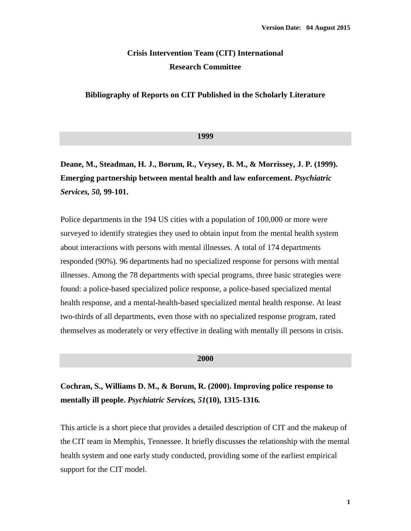### **Crisis Intervention Team (CIT) International Research Committee**

#### **Bibliography of Reports on CIT Published in the Scholarly Literature**

#### **1999**

**Deane, M., Steadman, H. J., Borum, R., Veysey, B. M., & Morrissey, J. P. (1999). Emerging partnership between mental health and law enforcement.** *Psychiatric Services, 50,* **99-101.**

Police departments in the 194 US cities with a population of 100,000 or more were surveyed to identify strategies they used to obtain input from the mental health system about interactions with persons with mental illnesses. A total of 174 departments responded (90%). 96 departments had no specialized response for persons with mental illnesses. Among the 78 departments with special programs, three basic strategies were found: a police-based specialized police response, a police-based specialized mental health response, and a mental-health-based specialized mental health response. At least two-thirds of all departments, even those with no specialized response program, rated themselves as moderately or very effective in dealing with mentally ill persons in crisis.

### **2000**

### **Cochran, S., Williams D. M., & Borum, R. (2000). Improving police response to mentally ill people.** *Psychiatric Services, 51***(10), 1315-1316***.*

This article is a short piece that provides a detailed description of CIT and the makeup of the CIT team in Memphis, Tennessee. It briefly discusses the relationship with the mental health system and one early study conducted, providing some of the earliest empirical support for the CIT model.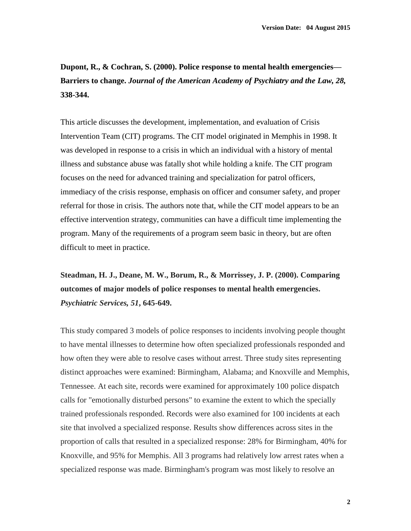**Dupont, R., & Cochran, S. (2000). Police response to mental health emergencies— Barriers to change.** *Journal of the American Academy of Psychiatry and the Law, 28,*  **338-344.** 

This article discusses the development, implementation, and evaluation of Crisis Intervention Team (CIT) programs. The CIT model originated in Memphis in 1998. It was developed in response to a crisis in which an individual with a history of mental illness and substance abuse was fatally shot while holding a knife. The CIT program focuses on the need for advanced training and specialization for patrol officers, immediacy of the crisis response, emphasis on officer and consumer safety, and proper referral for those in crisis. The authors note that, while the CIT model appears to be an effective intervention strategy, communities can have a difficult time implementing the program. Many of the requirements of a program seem basic in theory, but are often difficult to meet in practice.

**Steadman, H. J., Deane, M. W., Borum, R., & Morrissey, J. P. (2000). Comparing outcomes of major models of police responses to mental health emergencies.**  *Psychiatric Services, 51***, 645-649.** 

This study compared 3 models of police responses to incidents involving people thought to have mental illnesses to determine how often specialized professionals responded and how often they were able to resolve cases without arrest. Three study sites representing distinct approaches were examined: Birmingham, Alabama; and Knoxville and Memphis, Tennessee. At each site, records were examined for approximately 100 police dispatch calls for "emotionally disturbed persons" to examine the extent to which the specially trained professionals responded. Records were also examined for 100 incidents at each site that involved a specialized response. Results show differences across sites in the proportion of calls that resulted in a specialized response: 28% for Birmingham, 40% for Knoxville, and 95% for Memphis. All 3 programs had relatively low arrest rates when a specialized response was made. Birmingham's program was most likely to resolve an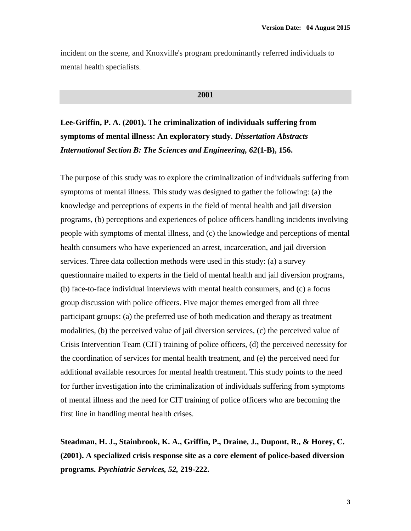incident on the scene, and Knoxville's program predominantly referred individuals to mental health specialists.

#### **2001**

**Lee-Griffin, P. A. (2001). The criminalization of individuals suffering from symptoms of mental illness: An exploratory study.** *Dissertation Abstracts International Section B: The Sciences and Engineering, 62***(1-B), 156.**

The purpose of this study was to explore the criminalization of individuals suffering from symptoms of mental illness. This study was designed to gather the following: (a) the knowledge and perceptions of experts in the field of mental health and jail diversion programs, (b) perceptions and experiences of police officers handling incidents involving people with symptoms of mental illness, and (c) the knowledge and perceptions of mental health consumers who have experienced an arrest, incarceration, and jail diversion services. Three data collection methods were used in this study: (a) a survey questionnaire mailed to experts in the field of mental health and jail diversion programs, (b) face-to-face individual interviews with mental health consumers, and (c) a focus group discussion with police officers. Five major themes emerged from all three participant groups: (a) the preferred use of both medication and therapy as treatment modalities, (b) the perceived value of jail diversion services, (c) the perceived value of Crisis Intervention Team (CIT) training of police officers, (d) the perceived necessity for the coordination of services for mental health treatment, and (e) the perceived need for additional available resources for mental health treatment. This study points to the need for further investigation into the criminalization of individuals suffering from symptoms of mental illness and the need for CIT training of police officers who are becoming the first line in handling mental health crises.

**Steadman, H. J., Stainbrook, K. A., Griffin, P., Draine, J., Dupont, R., & Horey, C. (2001). A specialized crisis response site as a core element of police-based diversion programs.** *Psychiatric Services, 52,* **219-222.**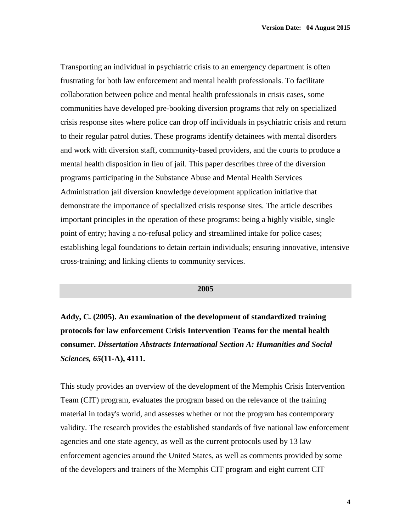Transporting an individual in psychiatric crisis to an emergency department is often frustrating for both law enforcement and mental health professionals. To facilitate collaboration between police and mental health professionals in crisis cases, some communities have developed pre-booking diversion programs that rely on specialized crisis response sites where police can drop off individuals in psychiatric crisis and return to their regular patrol duties. These programs identify detainees with mental disorders and work with diversion staff, community-based providers, and the courts to produce a mental health disposition in lieu of jail. This paper describes three of the diversion programs participating in the Substance Abuse and Mental Health Services Administration jail diversion knowledge development application initiative that demonstrate the importance of specialized crisis response sites. The article describes important principles in the operation of these programs: being a highly visible, single point of entry; having a no-refusal policy and streamlined intake for police cases; establishing legal foundations to detain certain individuals; ensuring innovative, intensive cross-training; and linking clients to community services.

#### **2005**

**Addy, C. (2005). An examination of the development of standardized training protocols for law enforcement Crisis Intervention Teams for the mental health consumer.** *Dissertation Abstracts International Section A: Humanities and Social Sciences, 65***(11-A), 4111.**

This study provides an overview of the development of the Memphis Crisis Intervention Team (CIT) program, evaluates the program based on the relevance of the training material in today's world, and assesses whether or not the program has contemporary validity. The research provides the established standards of five national law enforcement agencies and one state agency, as well as the current protocols used by 13 law enforcement agencies around the United States, as well as comments provided by some of the developers and trainers of the Memphis CIT program and eight current CIT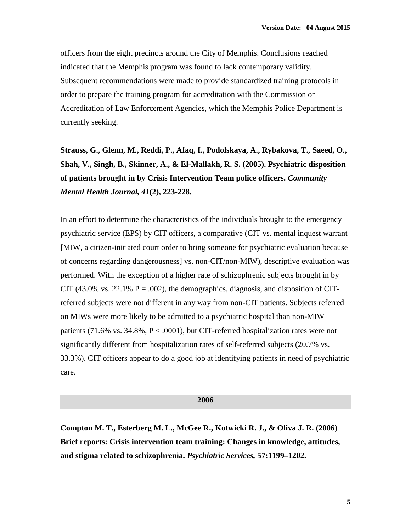officers from the eight precincts around the City of Memphis. Conclusions reached indicated that the Memphis program was found to lack contemporary validity. Subsequent recommendations were made to provide standardized training protocols in order to prepare the training program for accreditation with the Commission on Accreditation of Law Enforcement Agencies, which the Memphis Police Department is currently seeking.

**Strauss, G., Glenn, M., Reddi, P., Afaq, I., Podolskaya, A., Rybakova, T., Saeed, O., Shah, V., Singh, B., Skinner, A., & El-Mallakh, R. S. (2005). Psychiatric disposition of patients brought in by Crisis Intervention Team police officers.** *Community Mental Health Journal, 41***(2), 223-228.**

In an effort to determine the characteristics of the individuals brought to the emergency psychiatric service (EPS) by CIT officers, a comparative (CIT vs. mental inquest warrant [MIW, a citizen-initiated court order to bring someone for psychiatric evaluation because of concerns regarding dangerousness] vs. non-CIT/non-MIW), descriptive evaluation was performed. With the exception of a higher rate of schizophrenic subjects brought in by CIT (43.0% vs. 22.1%  $P = .002$ ), the demographics, diagnosis, and disposition of CITreferred subjects were not different in any way from non-CIT patients. Subjects referred on MIWs were more likely to be admitted to a psychiatric hospital than non-MIW patients (71.6% vs. 34.8%,  $P < .0001$ ), but CIT-referred hospitalization rates were not significantly different from hospitalization rates of self-referred subjects (20.7% vs. 33.3%). CIT officers appear to do a good job at identifying patients in need of psychiatric care.

**2006**

**Compton M. T., Esterberg M. L., McGee R., Kotwicki R. J., & Oliva J. R. (2006) Brief reports: Crisis intervention team training: Changes in knowledge, attitudes, and stigma related to schizophrenia.** *Psychiatric Services,* **57:1199–1202.**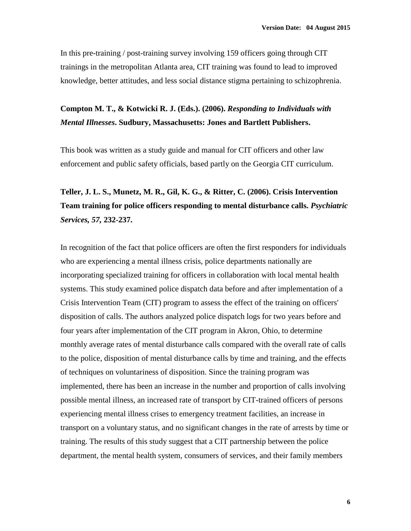In this pre-training / post-training survey involving 159 officers going through CIT trainings in the metropolitan Atlanta area, CIT training was found to lead to improved knowledge, better attitudes, and less social distance stigma pertaining to schizophrenia.

### **Compton M. T., & Kotwicki R. J. (Eds.). (2006).** *Responding to Individuals with Mental Illnesses***. Sudbury, Massachusetts: Jones and Bartlett Publishers.**

This book was written as a study guide and manual for CIT officers and other law enforcement and public safety officials, based partly on the Georgia CIT curriculum.

# **Teller, J. L. S., Munetz, M. R., Gil, K. G., & Ritter, C. (2006). Crisis Intervention Team training for police officers responding to mental disturbance calls.** *Psychiatric Services, 57,* **232-237.**

In recognition of the fact that police officers are often the first responders for individuals who are experiencing a mental illness crisis, police departments nationally are incorporating specialized training for officers in collaboration with local mental health systems. This study examined police dispatch data before and after implementation of a Crisis Intervention Team (CIT) program to assess the effect of the training on officers' disposition of calls. The authors analyzed police dispatch logs for two years before and four years after implementation of the CIT program in Akron, Ohio, to determine monthly average rates of mental disturbance calls compared with the overall rate of calls to the police, disposition of mental disturbance calls by time and training, and the effects of techniques on voluntariness of disposition. Since the training program was implemented, there has been an increase in the number and proportion of calls involving possible mental illness, an increased rate of transport by CIT-trained officers of persons experiencing mental illness crises to emergency treatment facilities, an increase in transport on a voluntary status, and no significant changes in the rate of arrests by time or training. The results of this study suggest that a CIT partnership between the police department, the mental health system, consumers of services, and their family members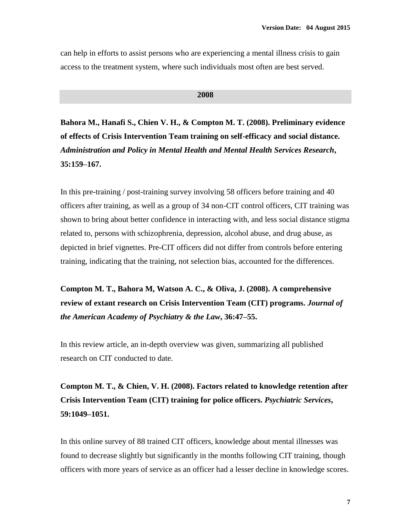can help in efforts to assist persons who are experiencing a mental illness crisis to gain access to the treatment system, where such individuals most often are best served.

#### **2008**

**Bahora M., Hanafi S., Chien V. H., & Compton M. T. (2008). Preliminary evidence of effects of Crisis Intervention Team training on self-efficacy and social distance.**  *Administration and Policy in Mental Health and Mental Health Services Research***, 35:159–167.** 

In this pre-training / post-training survey involving 58 officers before training and 40 officers after training, as well as a group of 34 non-CIT control officers, CIT training was shown to bring about better confidence in interacting with, and less social distance stigma related to, persons with schizophrenia, depression, alcohol abuse, and drug abuse, as depicted in brief vignettes. Pre-CIT officers did not differ from controls before entering training, indicating that the training, not selection bias, accounted for the differences.

**Compton M. T., Bahora M, Watson A. C., & Oliva, J. (2008). A comprehensive review of extant research on Crisis Intervention Team (CIT) programs.** *Journal of the American Academy of Psychiatry & the Law***, 36:47–55.** 

In this review article, an in-depth overview was given, summarizing all published research on CIT conducted to date.

**Compton M. T., & Chien, V. H. (2008). Factors related to knowledge retention after Crisis Intervention Team (CIT) training for police officers.** *Psychiatric Services***, 59:1049–1051.** 

In this online survey of 88 trained CIT officers, knowledge about mental illnesses was found to decrease slightly but significantly in the months following CIT training, though officers with more years of service as an officer had a lesser decline in knowledge scores.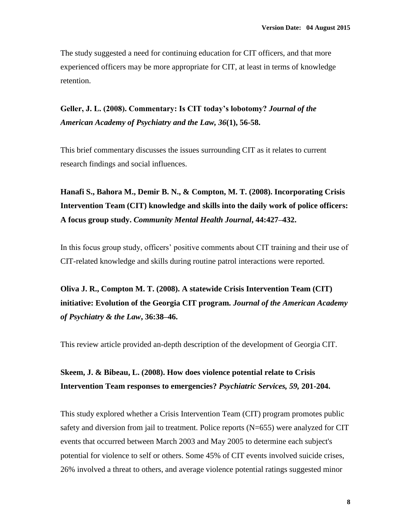The study suggested a need for continuing education for CIT officers, and that more experienced officers may be more appropriate for CIT, at least in terms of knowledge retention.

**Geller, J. L. (2008). Commentary: Is CIT today's lobotomy?** *Journal of the American Academy of Psychiatry and the Law, 36***(1), 56-58.**

This brief commentary discusses the issues surrounding CIT as it relates to current research findings and social influences.

**Hanafi S., Bahora M., Demir B. N., & Compton, M. T. (2008). Incorporating Crisis Intervention Team (CIT) knowledge and skills into the daily work of police officers: A focus group study.** *Community Mental Health Journal***, 44:427–432.** 

In this focus group study, officers' positive comments about CIT training and their use of CIT-related knowledge and skills during routine patrol interactions were reported.

**Oliva J. R., Compton M. T. (2008). A statewide Crisis Intervention Team (CIT) initiative: Evolution of the Georgia CIT program.** *Journal of the American Academy of Psychiatry & the Law***, 36:38–46.** 

This review article provided an-depth description of the development of Georgia CIT.

### **Skeem, J. & Bibeau, L. (2008). How does violence potential relate to Crisis Intervention Team responses to emergencies?** *Psychiatric Services, 59,* **201-204.**

This study explored whether a Crisis Intervention Team (CIT) program promotes public safety and diversion from jail to treatment. Police reports (N=655) were analyzed for CIT events that occurred between March 2003 and May 2005 to determine each subject's potential for violence to self or others. Some 45% of CIT events involved suicide crises, 26% involved a threat to others, and average violence potential ratings suggested minor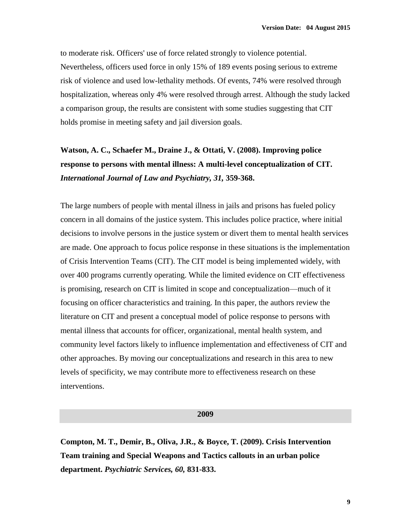to moderate risk. Officers' use of force related strongly to violence potential. Nevertheless, officers used force in only 15% of 189 events posing serious to extreme risk of violence and used low-lethality methods. Of events, 74% were resolved through hospitalization, whereas only 4% were resolved through arrest. Although the study lacked a comparison group, the results are consistent with some studies suggesting that CIT holds promise in meeting safety and jail diversion goals.

## **Watson, A. C., Schaefer M., Draine J., & Ottati, V. (2008). Improving police response to persons with mental illness: A multi-level conceptualization of CIT.**  *International Journal of Law and Psychiatry, 31,* **359-368.**

The large numbers of people with mental illness in jails and prisons has fueled policy concern in all domains of the justice system. This includes police practice, where initial decisions to involve persons in the justice system or divert them to mental health services are made. One approach to focus police response in these situations is the implementation of Crisis Intervention Teams (CIT). The CIT model is being implemented widely, with over 400 programs currently operating. While the limited evidence on CIT effectiveness is promising, research on CIT is limited in scope and conceptualization—much of it focusing on officer characteristics and training. In this paper, the authors review the literature on CIT and present a conceptual model of police response to persons with mental illness that accounts for officer, organizational, mental health system, and community level factors likely to influence implementation and effectiveness of CIT and other approaches. By moving our conceptualizations and research in this area to new levels of specificity, we may contribute more to effectiveness research on these interventions.

#### **2009**

**Compton, M. T., Demir, B., Oliva, J.R., & Boyce, T. (2009). Crisis Intervention Team training and Special Weapons and Tactics callouts in an urban police department.** *Psychiatric Services, 60,* **831-833.**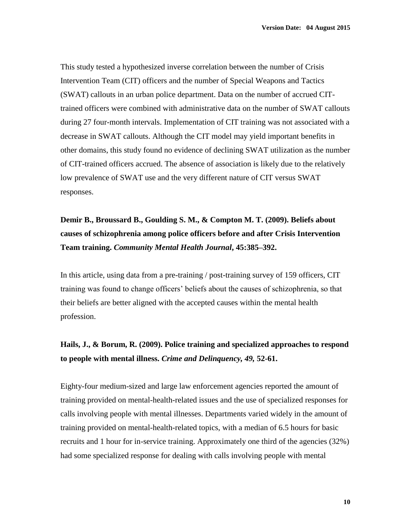This study tested a hypothesized inverse correlation between the number of Crisis Intervention Team (CIT) officers and the number of Special Weapons and Tactics (SWAT) callouts in an urban police department. Data on the number of accrued CITtrained officers were combined with administrative data on the number of SWAT callouts during 27 four-month intervals. Implementation of CIT training was not associated with a decrease in SWAT callouts. Although the CIT model may yield important benefits in other domains, this study found no evidence of declining SWAT utilization as the number of CIT-trained officers accrued. The absence of association is likely due to the relatively low prevalence of SWAT use and the very different nature of CIT versus SWAT responses.

# **Demir B., Broussard B., Goulding S. M., & Compton M. T. (2009). Beliefs about causes of schizophrenia among police officers before and after Crisis Intervention Team training.** *Community Mental Health Journal***, 45:385–392.**

In this article, using data from a pre-training / post-training survey of 159 officers, CIT training was found to change officers' beliefs about the causes of schizophrenia, so that their beliefs are better aligned with the accepted causes within the mental health profession.

### **Hails, J., & Borum, R. (2009). Police training and specialized approaches to respond to people with mental illness.** *Crime and Delinquency, 49,* **52-61.**

Eighty-four medium-sized and large law enforcement agencies reported the amount of training provided on mental-health-related issues and the use of specialized responses for calls involving people with mental illnesses. Departments varied widely in the amount of training provided on mental-health-related topics, with a median of 6.5 hours for basic recruits and 1 hour for in-service training. Approximately one third of the agencies (32%) had some specialized response for dealing with calls involving people with mental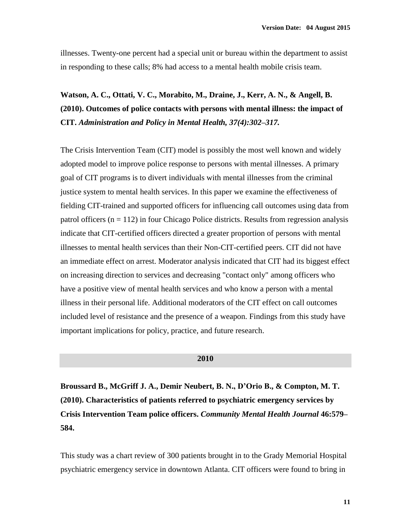illnesses. Twenty-one percent had a special unit or bureau within the department to assist in responding to these calls; 8% had access to a mental health mobile crisis team.

## **Watson, A. C., Ottati, V. C., Morabito, M., Draine, J., Kerr, A. N., & Angell, B. (2010). Outcomes of police contacts with persons with mental illness: the impact of CIT.** *Administration and Policy in Mental Health, 37(4):302–317.*

The Crisis Intervention Team (CIT) model is possibly the most well known and widely adopted model to improve police response to persons with mental illnesses. A primary goal of CIT programs is to divert individuals with mental illnesses from the criminal justice system to mental health services. In this paper we examine the effectiveness of fielding CIT-trained and supported officers for influencing call outcomes using data from patrol officers ( $n = 112$ ) in four Chicago Police districts. Results from regression analysis indicate that CIT-certified officers directed a greater proportion of persons with mental illnesses to mental health services than their Non-CIT-certified peers. CIT did not have an immediate effect on arrest. Moderator analysis indicated that CIT had its biggest effect on increasing direction to services and decreasing "contact only" among officers who have a positive view of mental health services and who know a person with a mental illness in their personal life. Additional moderators of the CIT effect on call outcomes included level of resistance and the presence of a weapon. Findings from this study have important implications for policy, practice, and future research.

### **2010**

**Broussard B., McGriff J. A., Demir Neubert, B. N., D'Orio B., & Compton, M. T. (2010). Characteristics of patients referred to psychiatric emergency services by Crisis Intervention Team police officers.** *Community Mental Health Journal* **46:579– 584.** 

This study was a chart review of 300 patients brought in to the Grady Memorial Hospital psychiatric emergency service in downtown Atlanta. CIT officers were found to bring in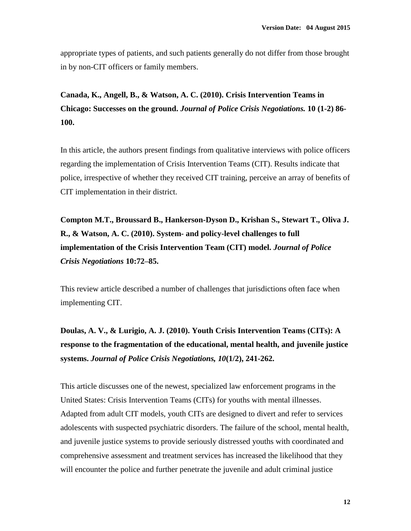appropriate types of patients, and such patients generally do not differ from those brought in by non-CIT officers or family members.

**Canada, K., Angell, B., & Watson, A. C. (2010). Crisis Intervention Teams in Chicago: Successes on the ground.** *Journal of Police Crisis Negotiations.* **10 (1-2) 86- 100.** 

In this article, the authors present findings from qualitative interviews with police officers regarding the implementation of Crisis Intervention Teams (CIT). Results indicate that police, irrespective of whether they received CIT training, perceive an array of benefits of CIT implementation in their district.

**Compton M.T., Broussard B., Hankerson-Dyson D., Krishan S., Stewart T., Oliva J. R., & Watson, A. C. (2010). System- and policy-level challenges to full implementation of the Crisis Intervention Team (CIT) model.** *Journal of Police Crisis Negotiations* **10:72–85.** 

This review article described a number of challenges that jurisdictions often face when implementing CIT.

**Doulas, A. V., & Lurigio, A. J. (2010). Youth Crisis Intervention Teams (CITs): A response to the fragmentation of the educational, mental health, and juvenile justice systems.** *Journal of Police Crisis Negotiations, 10***(1/2), 241-262.** 

This article discusses one of the newest, specialized law enforcement programs in the United States: Crisis Intervention Teams (CITs) for youths with mental illnesses. Adapted from adult CIT models, youth CITs are designed to divert and refer to services adolescents with suspected psychiatric disorders. The failure of the school, mental health, and juvenile justice systems to provide seriously distressed youths with coordinated and comprehensive assessment and treatment services has increased the likelihood that they will encounter the police and further penetrate the juvenile and adult criminal justice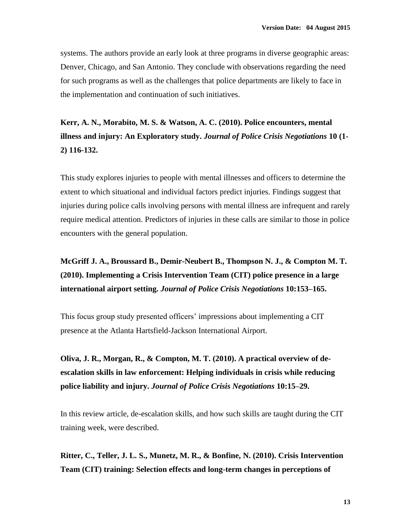systems. The authors provide an early look at three programs in diverse geographic areas: Denver, Chicago, and San Antonio. They conclude with observations regarding the need for such programs as well as the challenges that police departments are likely to face in the implementation and continuation of such initiatives.

**Kerr, A. N., Morabito, M. S. & Watson, A. C. (2010). Police encounters, mental illness and injury: An Exploratory study.** *Journal of Police Crisis Negotiations* **10 (1- 2) 116-132.**

This study explores injuries to people with mental illnesses and officers to determine the extent to which situational and individual factors predict injuries. Findings suggest that injuries during police calls involving persons with mental illness are infrequent and rarely require medical attention. Predictors of injuries in these calls are similar to those in police encounters with the general population.

## **McGriff J. A., Broussard B., Demir-Neubert B., Thompson N. J., & Compton M. T. (2010). Implementing a Crisis Intervention Team (CIT) police presence in a large international airport setting.** *Journal of Police Crisis Negotiations* **10:153–165.**

This focus group study presented officers' impressions about implementing a CIT presence at the Atlanta Hartsfield-Jackson International Airport.

**Oliva, J. R., Morgan, R., & Compton, M. T. (2010). A practical overview of deescalation skills in law enforcement: Helping individuals in crisis while reducing police liability and injury.** *Journal of Police Crisis Negotiations* **10:15–29.** 

In this review article, de-escalation skills, and how such skills are taught during the CIT training week, were described.

**Ritter, C., Teller, J. L. S., Munetz, M. R., & Bonfine, N. (2010). Crisis Intervention Team (CIT) training: Selection effects and long-term changes in perceptions of**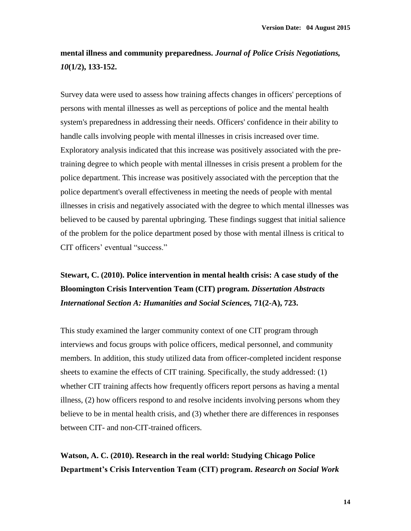### **mental illness and community preparedness.** *Journal of Police Crisis Negotiations, 10***(1/2), 133-152.**

Survey data were used to assess how training affects changes in officers' perceptions of persons with mental illnesses as well as perceptions of police and the mental health system's preparedness in addressing their needs. Officers' confidence in their ability to handle calls involving people with mental illnesses in crisis increased over time. Exploratory analysis indicated that this increase was positively associated with the pretraining degree to which people with mental illnesses in crisis present a problem for the police department. This increase was positively associated with the perception that the police department's overall effectiveness in meeting the needs of people with mental illnesses in crisis and negatively associated with the degree to which mental illnesses was believed to be caused by parental upbringing. These findings suggest that initial salience of the problem for the police department posed by those with mental illness is critical to CIT officers' eventual "success."

**Stewart, C. (2010). Police intervention in mental health crisis: A case study of the Bloomington Crisis Intervention Team (CIT) program.** *Dissertation Abstracts International Section A: Humanities and Social Sciences,* **71(2-A), 723.**

This study examined the larger community context of one CIT program through interviews and focus groups with police officers, medical personnel, and community members. In addition, this study utilized data from officer-completed incident response sheets to examine the effects of CIT training. Specifically, the study addressed: (1) whether CIT training affects how frequently officers report persons as having a mental illness, (2) how officers respond to and resolve incidents involving persons whom they believe to be in mental health crisis, and (3) whether there are differences in responses between CIT- and non-CIT-trained officers.

**Watson, A. C. (2010). Research in the real world: Studying Chicago Police Department's Crisis Intervention Team (CIT) program.** *Research on Social Work*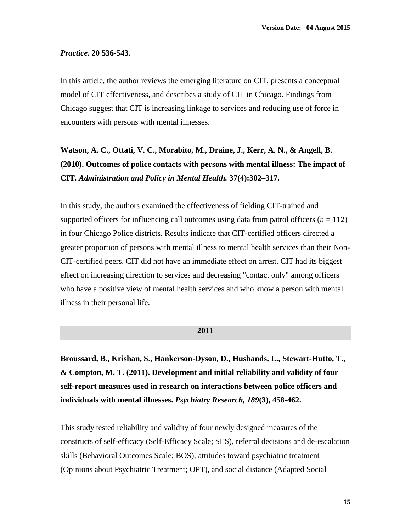### *Practice.* **20 536-543***.*

In this article, the author reviews the emerging literature on CIT, presents a conceptual model of CIT effectiveness, and describes a study of CIT in Chicago. Findings from Chicago suggest that CIT is increasing linkage to services and reducing use of force in encounters with persons with mental illnesses.

## **Watson, A. C., Ottati, V. C., Morabito, M., Draine, J., Kerr, A. N., & Angell, B. (2010). Outcomes of police contacts with persons with mental illness: The impact of CIT.** *Administration and Policy in Mental Health.* **37(4):302–317.**

In this study, the authors examined the effectiveness of fielding CIT-trained and supported officers for influencing call outcomes using data from patrol officers  $(n = 112)$ in four Chicago Police districts. Results indicate that CIT-certified officers directed a greater proportion of persons with mental illness to mental health services than their Non-CIT-certified peers. CIT did not have an immediate effect on arrest. CIT had its biggest effect on increasing direction to services and decreasing "contact only" among officers who have a positive view of mental health services and who know a person with mental illness in their personal life.

#### **2011**

**Broussard, B., Krishan, S., Hankerson-Dyson, D., Husbands, L., Stewart-Hutto, T., & Compton, M. T. (2011). Development and initial reliability and validity of four self-report measures used in research on interactions between police officers and individuals with mental illnesses.** *Psychiatry Research, 189***(3), 458-462.**

This study tested reliability and validity of four newly designed measures of the constructs of self-efficacy (Self-Efficacy Scale; SES), referral decisions and de-escalation skills (Behavioral Outcomes Scale; BOS), attitudes toward psychiatric treatment (Opinions about Psychiatric Treatment; OPT), and social distance (Adapted Social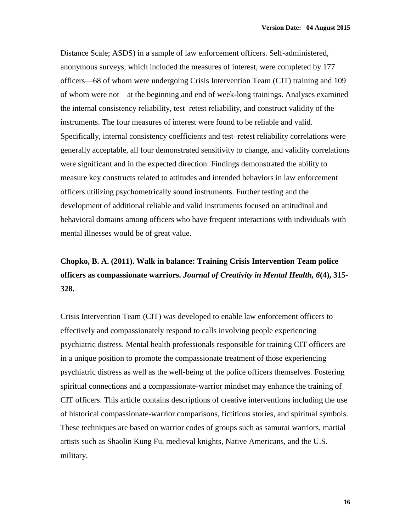Distance Scale; ASDS) in a sample of law enforcement officers. Self-administered, anonymous surveys, which included the measures of interest, were completed by 177 officers—68 of whom were undergoing Crisis Intervention Team (CIT) training and 109 of whom were not—at the beginning and end of week-long trainings. Analyses examined the internal consistency reliability, test–retest reliability, and construct validity of the instruments. The four measures of interest were found to be reliable and valid. Specifically, internal consistency coefficients and test–retest reliability correlations were generally acceptable, all four demonstrated sensitivity to change, and validity correlations were significant and in the expected direction. Findings demonstrated the ability to measure key constructs related to attitudes and intended behaviors in law enforcement officers utilizing psychometrically sound instruments. Further testing and the development of additional reliable and valid instruments focused on attitudinal and behavioral domains among officers who have frequent interactions with individuals with mental illnesses would be of great value.

# **Chopko, B. A. (2011). Walk in balance: Training Crisis Intervention Team police officers as compassionate warriors.** *Journal of Creativity in Mental Health, 6***(4), 315- 328.**

Crisis Intervention Team (CIT) was developed to enable law enforcement officers to effectively and compassionately respond to calls involving people experiencing psychiatric distress. Mental health professionals responsible for training CIT officers are in a unique position to promote the compassionate treatment of those experiencing psychiatric distress as well as the well-being of the police officers themselves. Fostering spiritual connections and a compassionate-warrior mindset may enhance the training of CIT officers. This article contains descriptions of creative interventions including the use of historical compassionate-warrior comparisons, fictitious stories, and spiritual symbols. These techniques are based on warrior codes of groups such as samurai warriors, martial artists such as Shaolin Kung Fu, medieval knights, Native Americans, and the U.S. military.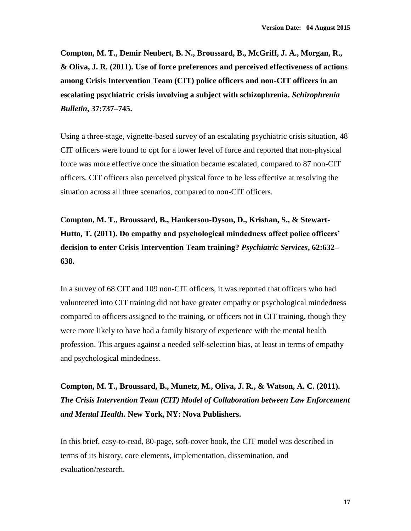**Compton, M. T., Demir Neubert, B. N., Broussard, B., McGriff, J. A., Morgan, R., & Oliva, J. R. (2011). Use of force preferences and perceived effectiveness of actions among Crisis Intervention Team (CIT) police officers and non-CIT officers in an escalating psychiatric crisis involving a subject with schizophrenia.** *Schizophrenia Bulletin***, 37:737–745.** 

Using a three-stage, vignette-based survey of an escalating psychiatric crisis situation, 48 CIT officers were found to opt for a lower level of force and reported that non-physical force was more effective once the situation became escalated, compared to 87 non-CIT officers. CIT officers also perceived physical force to be less effective at resolving the situation across all three scenarios, compared to non-CIT officers.

**Compton, M. T., Broussard, B., Hankerson-Dyson, D., Krishan, S., & Stewart-Hutto, T. (2011). Do empathy and psychological mindedness affect police officers' decision to enter Crisis Intervention Team training?** *Psychiatric Services***, 62:632– 638.** 

In a survey of 68 CIT and 109 non-CIT officers, it was reported that officers who had volunteered into CIT training did not have greater empathy or psychological mindedness compared to officers assigned to the training, or officers not in CIT training, though they were more likely to have had a family history of experience with the mental health profession. This argues against a needed self-selection bias, at least in terms of empathy and psychological mindedness.

**Compton, M. T., Broussard, B., Munetz, M., Oliva, J. R., & Watson, A. C. (2011).** *The Crisis Intervention Team (CIT) Model of Collaboration between Law Enforcement and Mental Health***. New York, NY: Nova Publishers.**

In this brief, easy-to-read, 80-page, soft-cover book, the CIT model was described in terms of its history, core elements, implementation, dissemination, and evaluation/research.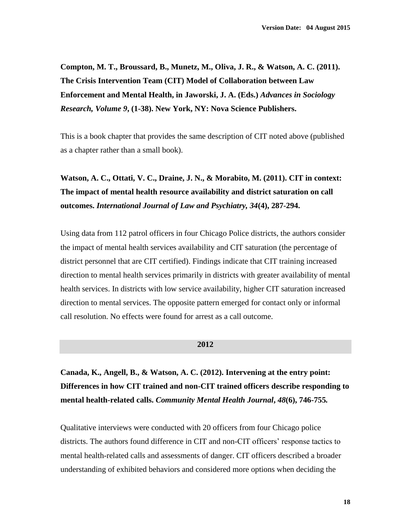**Compton, M. T., Broussard, B., Munetz, M., Oliva, J. R., & Watson, A. C. (2011). The Crisis Intervention Team (CIT) Model of Collaboration between Law Enforcement and Mental Health, in Jaworski, J. A. (Eds.)** *Advances in Sociology Research, Volume 9***, (1-38). New York, NY: Nova Science Publishers.**

This is a book chapter that provides the same description of CIT noted above (published as a chapter rather than a small book).

**Watson, A. C., Ottati, V. C., Draine, J. N., & Morabito, M. (2011). CIT in context: The impact of mental health resource availability and district saturation on call outcomes.** *International Journal of Law and Psychiatry, 34***(4), 287-294.**

Using data from 112 patrol officers in four Chicago Police districts, the authors consider the impact of mental health services availability and CIT saturation (the percentage of district personnel that are CIT certified). Findings indicate that CIT training increased direction to mental health services primarily in districts with greater availability of mental health services. In districts with low service availability, higher CIT saturation increased direction to mental services. The opposite pattern emerged for contact only or informal call resolution. No effects were found for arrest as a call outcome.

#### **2012**

**Canada, K., Angell, B., & Watson, A. C. (2012). Intervening at the entry point: Differences in how CIT trained and non-CIT trained officers describe responding to mental health-related calls.** *Community Mental Health Journal***,** *48***(6), 746-755***.*

Qualitative interviews were conducted with 20 officers from four Chicago police districts. The authors found difference in CIT and non-CIT officers' response tactics to mental health-related calls and assessments of danger. CIT officers described a broader understanding of exhibited behaviors and considered more options when deciding the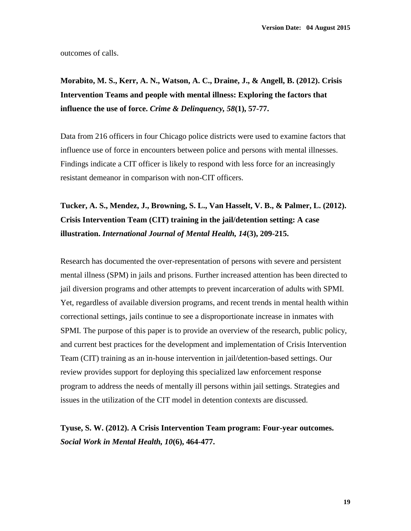outcomes of calls.

**Morabito, M. S., Kerr, A. N., Watson, A. C., Draine, J., & Angell, B. (2012). Crisis Intervention Teams and people with mental illness: Exploring the factors that influence the use of force.** *Crime & Delinquency, 58***(1), 57-77.**

Data from 216 officers in four Chicago police districts were used to examine factors that influence use of force in encounters between police and persons with mental illnesses. Findings indicate a CIT officer is likely to respond with less force for an increasingly resistant demeanor in comparison with non-CIT officers.

**Tucker, A. S., Mendez, J., Browning, S. L., Van Hasselt, V. B., & Palmer, L. (2012). Crisis Intervention Team (CIT) training in the jail/detention setting: A case illustration.** *International Journal of Mental Health, 14***(3), 209-215.**

Research has documented the over-representation of persons with severe and persistent mental illness (SPM) in jails and prisons. Further increased attention has been directed to jail diversion programs and other attempts to prevent incarceration of adults with SPMI. Yet, regardless of available diversion programs, and recent trends in mental health within correctional settings, jails continue to see a disproportionate increase in inmates with SPMI. The purpose of this paper is to provide an overview of the research, public policy, and current best practices for the development and implementation of Crisis Intervention Team (CIT) training as an in-house intervention in jail/detention-based settings. Our review provides support for deploying this specialized law enforcement response program to address the needs of mentally ill persons within jail settings. Strategies and issues in the utilization of the CIT model in detention contexts are discussed.

**Tyuse, S. W. (2012). A Crisis Intervention Team program: Four-year outcomes.**  *Social Work in Mental Health, 10***(6), 464-477.**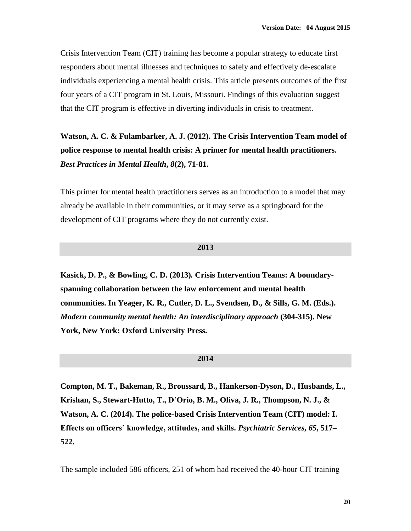Crisis Intervention Team (CIT) training has become a popular strategy to educate first responders about mental illnesses and techniques to safely and effectively de-escalate individuals experiencing a mental health crisis. This article presents outcomes of the first four years of a CIT program in St. Louis, Missouri. Findings of this evaluation suggest that the CIT program is effective in diverting individuals in crisis to treatment.

**Watson, A. C. & Fulambarker, A. J. (2012). The Crisis Intervention Team model of police response to mental health crisis: A primer for mental health practitioners.**  *Best Practices in Mental Health***,** *8***(2), 71-81.** 

This primer for mental health practitioners serves as an introduction to a model that may already be available in their communities, or it may serve as a springboard for the development of CIT programs where they do not currently exist.

### **2013**

**Kasick, D. P., & Bowling, C. D. (2013)***.* **Crisis Intervention Teams: A boundaryspanning collaboration between the law enforcement and mental health communities. In Yeager, K. R., Cutler, D. L., Svendsen, D., & Sills, G. M. (Eds.).**  *Modern community mental health: An interdisciplinary approach* **(304-315). New York, New York: Oxford University Press.**

### **2014**

**Compton, M. T., Bakeman, R., Broussard, B., Hankerson-Dyson, D., Husbands, L., Krishan, S., Stewart-Hutto, T., D'Orio, B. M., Oliva, J. R., Thompson, N. J., & Watson, A. C. (2014). The police-based Crisis Intervention Team (CIT) model: I. Effects on officers' knowledge, attitudes, and skills.** *Psychiatric Services***,** *65***, 517– 522.** 

The sample included 586 officers, 251 of whom had received the 40-hour CIT training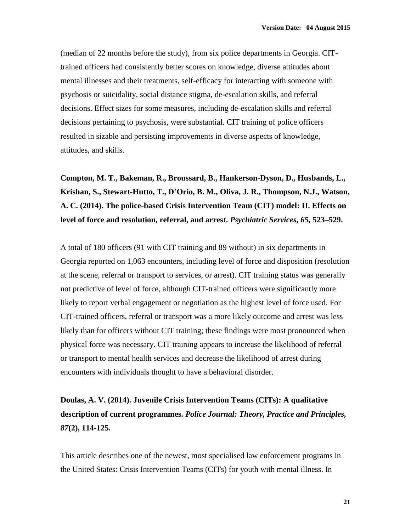(median of 22 months before the study), from six police departments in Georgia. CITtrained officers had consistently better scores on knowledge, diverse attitudes about mental illnesses and their treatments, self-efficacy for interacting with someone with psychosis or suicidality, social distance stigma, de-escalation skills, and referral decisions. Effect sizes for some measures, including de-escalation skills and referral decisions pertaining to psychosis, were substantial. CIT training of police officers resulted in sizable and persisting improvements in diverse aspects of knowledge, attitudes, and skills.

**Compton, M. T., Bakeman, R., Broussard, B., Hankerson-Dyson, D., Husbands, L., Krishan, S., Stewart-Hutto, T., D'Orio, B. M., Oliva, J. R., Thompson, N.J., Watson, A. C. (2014). The police-based Crisis Intervention Team (CIT) model: II. Effects on level of force and resolution, referral, and arrest.** *Psychiatric Services***,** *65,* **523–529.** 

A total of 180 officers (91 with CIT training and 89 without) in six departments in Georgia reported on 1,063 encounters, including level of force and disposition (resolution at the scene, referral or transport to services, or arrest). CIT training status was generally not predictive of level of force, although CIT-trained officers were significantly more likely to report verbal engagement or negotiation as the highest level of force used. For CIT-trained officers, referral or transport was a more likely outcome and arrest was less likely than for officers without CIT training; these findings were most pronounced when physical force was necessary. CIT training appears to increase the likelihood of referral or transport to mental health services and decrease the likelihood of arrest during encounters with individuals thought to have a behavioral disorder.

# **Doulas, A. V. (2014). Juvenile Crisis Intervention Teams (CITs): A qualitative description of current programmes.** *Police Journal: Theory, Practice and Principles, 87***(2), 114-125.**

This article describes one of the newest, most specialised law enforcement programs in the United States: Crisis Intervention Teams (CITs) for youth with mental illness. In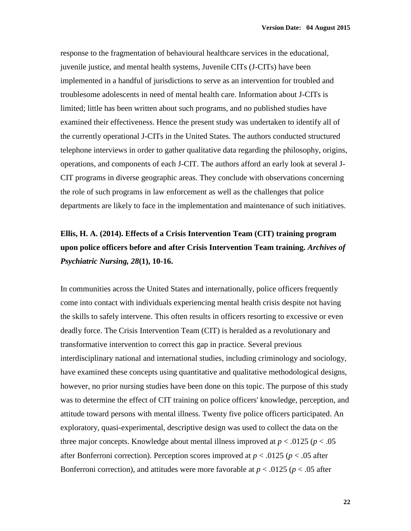response to the fragmentation of behavioural healthcare services in the educational, juvenile justice, and mental health systems, Juvenile CITs (J-CITs) have been implemented in a handful of jurisdictions to serve as an intervention for troubled and troublesome adolescents in need of mental health care. Information about J-CITs is limited; little has been written about such programs, and no published studies have examined their effectiveness. Hence the present study was undertaken to identify all of the currently operational J-CITs in the United States. The authors conducted structured telephone interviews in order to gather qualitative data regarding the philosophy, origins, operations, and components of each J-CIT. The authors afford an early look at several J-CIT programs in diverse geographic areas. They conclude with observations concerning the role of such programs in law enforcement as well as the challenges that police departments are likely to face in the implementation and maintenance of such initiatives.

# **Ellis, H. A. (2014). Effects of a Crisis Intervention Team (CIT) training program upon police officers before and after Crisis Intervention Team training.** *Archives of Psychiatric Nursing, 28***(1), 10-16.**

In communities across the United States and internationally, police officers frequently come into contact with individuals experiencing mental health crisis despite not having the skills to safely intervene. This often results in officers resorting to excessive or even deadly force. The Crisis Intervention Team (CIT) is heralded as a revolutionary and transformative intervention to correct this gap in practice. Several previous interdisciplinary national and international studies, including criminology and sociology, have examined these concepts using quantitative and qualitative methodological designs, however, no prior nursing studies have been done on this topic. The purpose of this study was to determine the effect of CIT training on police officers' knowledge, perception, and attitude toward persons with mental illness. Twenty five police officers participated. An exploratory, quasi-experimental, descriptive design was used to collect the data on the three major concepts. Knowledge about mental illness improved at  $p < .0125$  ( $p < .05$ ) after Bonferroni correction). Perception scores improved at  $p < .0125$  ( $p < .05$  after Bonferroni correction), and attitudes were more favorable at  $p < .0125$  ( $p < .05$  after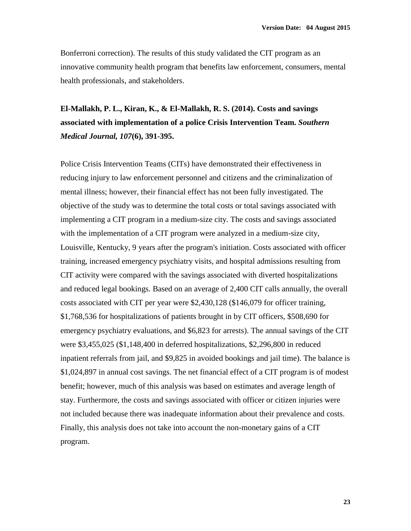Bonferroni correction). The results of this study validated the CIT program as an innovative community health program that benefits law enforcement, consumers, mental health professionals, and stakeholders.

# **El-Mallakh, P. L., Kiran, K., & El-Mallakh, R. S. (2014). Costs and savings associated with implementation of a police Crisis Intervention Team.** *Southern Medical Journal, 107***(6), 391-395.**

Police Crisis Intervention Teams (CITs) have demonstrated their effectiveness in reducing injury to law enforcement personnel and citizens and the criminalization of mental illness; however, their financial effect has not been fully investigated. The objective of the study was to determine the total costs or total savings associated with implementing a CIT program in a medium-size city. The costs and savings associated with the implementation of a CIT program were analyzed in a medium-size city, Louisville, Kentucky, 9 years after the program's initiation. Costs associated with officer training, increased emergency psychiatry visits, and hospital admissions resulting from CIT activity were compared with the savings associated with diverted hospitalizations and reduced legal bookings. Based on an average of 2,400 CIT calls annually, the overall costs associated with CIT per year were \$2,430,128 (\$146,079 for officer training, \$1,768,536 for hospitalizations of patients brought in by CIT officers, \$508,690 for emergency psychiatry evaluations, and \$6,823 for arrests). The annual savings of the CIT were \$3,455,025 (\$1,148,400 in deferred hospitalizations, \$2,296,800 in reduced inpatient referrals from jail, and \$9,825 in avoided bookings and jail time). The balance is \$1,024,897 in annual cost savings. The net financial effect of a CIT program is of modest benefit; however, much of this analysis was based on estimates and average length of stay. Furthermore, the costs and savings associated with officer or citizen injuries were not included because there was inadequate information about their prevalence and costs. Finally, this analysis does not take into account the non-monetary gains of a CIT program.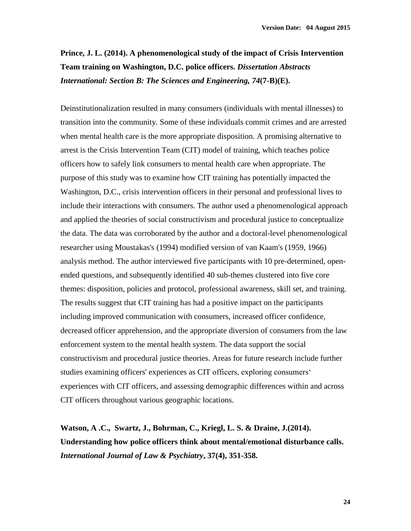**Prince, J. L. (2014). A phenomenological study of the impact of Crisis Intervention Team training on Washington, D.C. police officers.** *Dissertation Abstracts International: Section B: The Sciences and Engineering, 74***(7-B)(E).**

Deinstitutionalization resulted in many consumers (individuals with mental illnesses) to transition into the community. Some of these individuals commit crimes and are arrested when mental health care is the more appropriate disposition. A promising alternative to arrest is the Crisis Intervention Team (CIT) model of training, which teaches police officers how to safely link consumers to mental health care when appropriate. The purpose of this study was to examine how CIT training has potentially impacted the Washington, D.C., crisis intervention officers in their personal and professional lives to include their interactions with consumers. The author used a phenomenological approach and applied the theories of social constructivism and procedural justice to conceptualize the data. The data was corroborated by the author and a doctoral-level phenomenological researcher using Moustakas's (1994) modified version of van Kaam's (1959, 1966) analysis method. The author interviewed five participants with 10 pre-determined, openended questions, and subsequently identified 40 sub-themes clustered into five core themes: disposition, policies and protocol, professional awareness, skill set, and training. The results suggest that CIT training has had a positive impact on the participants including improved communication with consumers, increased officer confidence, decreased officer apprehension, and the appropriate diversion of consumers from the law enforcement system to the mental health system. The data support the social constructivism and procedural justice theories. Areas for future research include further studies examining officers' experiences as CIT officers, exploring consumers' experiences with CIT officers, and assessing demographic differences within and across CIT officers throughout various geographic locations.

**Watson, A .C., Swartz, J., Bohrman, C., Kriegl, L. S. & Draine, J.(2014). Understanding how police officers think about mental/emotional disturbance calls.**  *International Journal of Law & Psychiatry***, 37(4), 351-358.**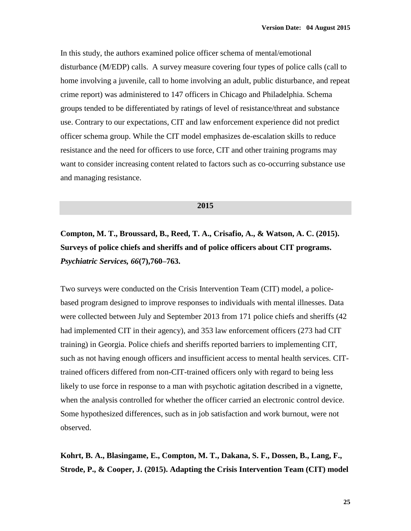In this study, the authors examined police officer schema of mental/emotional disturbance (M/EDP) calls. A survey measure covering four types of police calls (call to home involving a juvenile, call to home involving an adult, public disturbance, and repeat crime report) was administered to 147 officers in Chicago and Philadelphia. Schema groups tended to be differentiated by ratings of level of resistance/threat and substance use. Contrary to our expectations, CIT and law enforcement experience did not predict officer schema group. While the CIT model emphasizes de-escalation skills to reduce resistance and the need for officers to use force, CIT and other training programs may want to consider increasing content related to factors such as co-occurring substance use and managing resistance.

#### **2015**

**Compton, M. T., Broussard, B., Reed, T. A., Crisafio, A., & Watson, A. C. (2015). Surveys of police chiefs and sheriffs and of police officers about CIT programs.**  *Psychiatric Services, 66***(7),760–763.**

Two surveys were conducted on the Crisis Intervention Team (CIT) model, a policebased program designed to improve responses to individuals with mental illnesses. Data were collected between July and September 2013 from 171 police chiefs and sheriffs (42 had implemented CIT in their agency), and 353 law enforcement officers (273 had CIT training) in Georgia. Police chiefs and sheriffs reported barriers to implementing CIT, such as not having enough officers and insufficient access to mental health services. CITtrained officers differed from non-CIT-trained officers only with regard to being less likely to use force in response to a man with psychotic agitation described in a vignette, when the analysis controlled for whether the officer carried an electronic control device. Some hypothesized differences, such as in job satisfaction and work burnout, were not observed.

**Kohrt, B. A., Blasingame, E., Compton, M. T., Dakana, S. F., Dossen, B., Lang, F., Strode, P., & Cooper, J. (2015). Adapting the Crisis Intervention Team (CIT) model**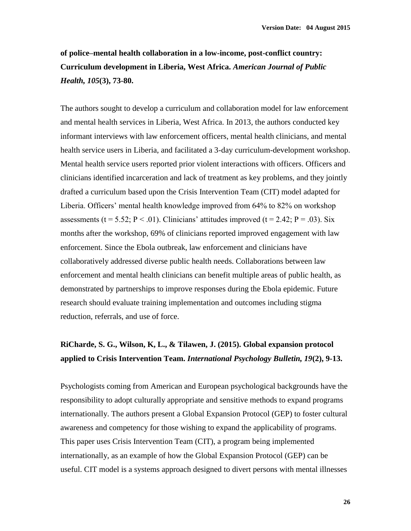## **of police–mental health collaboration in a low-income, post-conflict country: Curriculum development in Liberia, West Africa.** *American Journal of Public Health, 105***(3), 73-80.**

The authors sought to develop a curriculum and collaboration model for law enforcement and mental health services in Liberia, West Africa. In 2013, the authors conducted key informant interviews with law enforcement officers, mental health clinicians, and mental health service users in Liberia, and facilitated a 3-day curriculum-development workshop. Mental health service users reported prior violent interactions with officers. Officers and clinicians identified incarceration and lack of treatment as key problems, and they jointly drafted a curriculum based upon the Crisis Intervention Team (CIT) model adapted for Liberia. Officers' mental health knowledge improved from 64% to 82% on workshop assessments (t = 5.52;  $P < .01$ ). Clinicians' attitudes improved (t = 2.42;  $P = .03$ ). Six months after the workshop, 69% of clinicians reported improved engagement with law enforcement. Since the Ebola outbreak, law enforcement and clinicians have collaboratively addressed diverse public health needs. Collaborations between law enforcement and mental health clinicians can benefit multiple areas of public health, as demonstrated by partnerships to improve responses during the Ebola epidemic. Future research should evaluate training implementation and outcomes including stigma reduction, referrals, and use of force.

### **RiCharde, S. G., Wilson, K, L., & Tilawen, J. (2015). Global expansion protocol applied to Crisis Intervention Team.** *International Psychology Bulletin, 19***(2), 9-13.**

Psychologists coming from American and European psychological backgrounds have the responsibility to adopt culturally appropriate and sensitive methods to expand programs internationally. The authors present a Global Expansion Protocol (GEP) to foster cultural awareness and competency for those wishing to expand the applicability of programs. This paper uses Crisis Intervention Team (CIT), a program being implemented internationally, as an example of how the Global Expansion Protocol (GEP) can be useful. CIT model is a systems approach designed to divert persons with mental illnesses